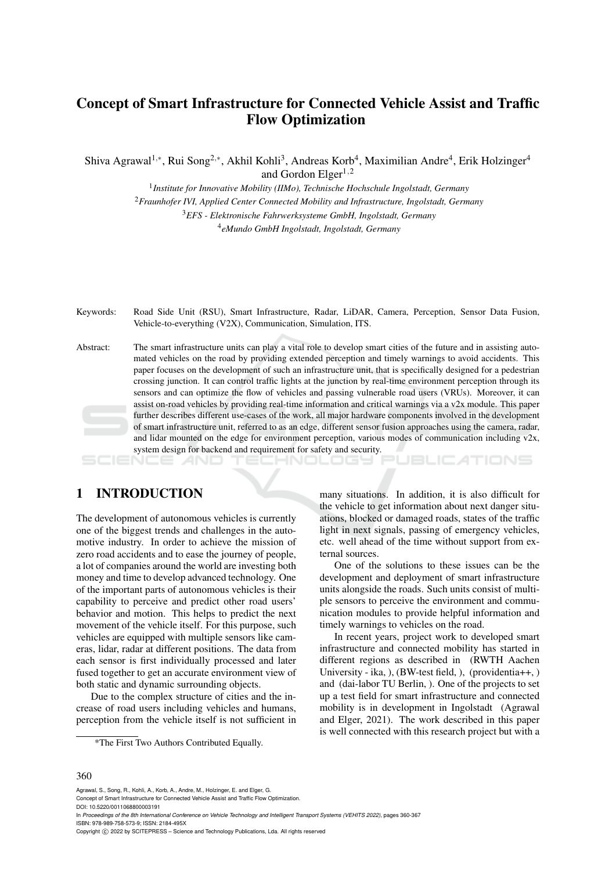# Concept of Smart Infrastructure for Connected Vehicle Assist and Traffic Flow Optimization

Shiva Agrawal<sup>1,∗</sup>, Rui Song<sup>2,∗</sup>, Akhil Kohli<sup>3</sup>, Andreas Korb<sup>4</sup>, Maximilian Andre<sup>4</sup>, Erik Holzinger<sup>4</sup> and Gordon Elger<sup>1,2</sup>

> 1 *Institute for Innovative Mobility (IIMo), Technische Hochschule Ingolstadt, Germany* <sup>2</sup>*Fraunhofer IVI, Applied Center Connected Mobility and Infrastructure, Ingolstadt, Germany*

> > <sup>3</sup>*EFS - Elektronische Fahrwerksysteme GmbH, Ingolstadt, Germany* 4 *eMundo GmbH Ingolstadt, Ingolstadt, Germany*

Keywords: Road Side Unit (RSU), Smart Infrastructure, Radar, LiDAR, Camera, Perception, Sensor Data Fusion, Vehicle-to-everything (V2X), Communication, Simulation, ITS.

Abstract: The smart infrastructure units can play a vital role to develop smart cities of the future and in assisting automated vehicles on the road by providing extended perception and timely warnings to avoid accidents. This paper focuses on the development of such an infrastructure unit, that is specifically designed for a pedestrian crossing junction. It can control traffic lights at the junction by real-time environment perception through its sensors and can optimize the flow of vehicles and passing vulnerable road users (VRUs). Moreover, it can assist on-road vehicles by providing real-time information and critical warnings via a v2x module. This paper further describes different use-cases of the work, all major hardware components involved in the development of smart infrastructure unit, referred to as an edge, different sensor fusion approaches using the camera, radar, and lidar mounted on the edge for environment perception, various modes of communication including v2x, system design for backend and requirement for safety and security.

# 1 INTRODUCTION

The development of autonomous vehicles is currently one of the biggest trends and challenges in the automotive industry. In order to achieve the mission of zero road accidents and to ease the journey of people, a lot of companies around the world are investing both money and time to develop advanced technology. One of the important parts of autonomous vehicles is their capability to perceive and predict other road users' behavior and motion. This helps to predict the next movement of the vehicle itself. For this purpose, such vehicles are equipped with multiple sensors like cameras, lidar, radar at different positions. The data from each sensor is first individually processed and later fused together to get an accurate environment view of both static and dynamic surrounding objects.

Due to the complex structure of cities and the increase of road users including vehicles and humans, perception from the vehicle itself is not sufficient in

\*The First Two Authors Contributed Equally.

many situations. In addition, it is also difficult for the vehicle to get information about next danger situations, blocked or damaged roads, states of the traffic light in next signals, passing of emergency vehicles, etc. well ahead of the time without support from external sources.

ATIONS

One of the solutions to these issues can be the development and deployment of smart infrastructure units alongside the roads. Such units consist of multiple sensors to perceive the environment and communication modules to provide helpful information and timely warnings to vehicles on the road.

In recent years, project work to developed smart infrastructure and connected mobility has started in different regions as described in (RWTH Aachen University - ika, ), (BW-test field, ), (providentia++, ) and (dai-labor TU Berlin, ). One of the projects to set up a test field for smart infrastructure and connected mobility is in development in Ingolstadt (Agrawal and Elger, 2021). The work described in this paper is well connected with this research project but with a

#### 360

Agrawal, S., Song, R., Kohli, A., Korb, A., Andre, M., Holzinger, E. and Elger, G.

Concept of Smart Infrastructure for Connected Vehicle Assist and Traffic Flow Optimization. DOI: 10.5220/0011068800003191

In *Proceedings of the 8th International Conference on Vehicle Technology and Intelligent Transport Systems (VEHITS 2022)*, pages 360-367 ISBN: 978-989-758-573-9; ISSN: 2184-495X

Copyright © 2022 by SCITEPRESS - Science and Technology Publications, Lda. All rights reserved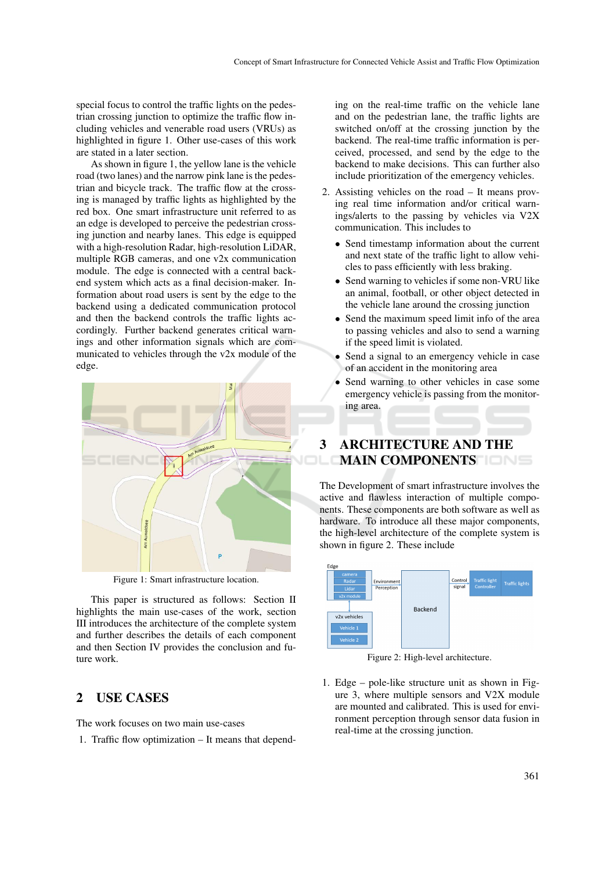special focus to control the traffic lights on the pedestrian crossing junction to optimize the traffic flow including vehicles and venerable road users (VRUs) as highlighted in figure 1. Other use-cases of this work are stated in a later section.

As shown in figure 1, the yellow lane is the vehicle road (two lanes) and the narrow pink lane is the pedestrian and bicycle track. The traffic flow at the crossing is managed by traffic lights as highlighted by the red box. One smart infrastructure unit referred to as an edge is developed to perceive the pedestrian crossing junction and nearby lanes. This edge is equipped with a high-resolution Radar, high-resolution LiDAR, multiple RGB cameras, and one v2x communication module. The edge is connected with a central backend system which acts as a final decision-maker. Information about road users is sent by the edge to the backend using a dedicated communication protocol and then the backend controls the traffic lights accordingly. Further backend generates critical warnings and other information signals which are communicated to vehicles through the v2x module of the edge.



Figure 1: Smart infrastructure location.

This paper is structured as follows: Section II highlights the main use-cases of the work, section III introduces the architecture of the complete system and further describes the details of each component and then Section IV provides the conclusion and future work.

# 2 USE CASES

The work focuses on two main use-cases

1. Traffic flow optimization – It means that depend-

ing on the real-time traffic on the vehicle lane and on the pedestrian lane, the traffic lights are switched on/off at the crossing junction by the backend. The real-time traffic information is perceived, processed, and send by the edge to the backend to make decisions. This can further also include prioritization of the emergency vehicles.

- 2. Assisting vehicles on the road It means proving real time information and/or critical warnings/alerts to the passing by vehicles via V2X communication. This includes to
	- Send timestamp information about the current and next state of the traffic light to allow vehicles to pass efficiently with less braking.
	- Send warning to vehicles if some non-VRU like an animal, football, or other object detected in the vehicle lane around the crossing junction
	- Send the maximum speed limit info of the area to passing vehicles and also to send a warning if the speed limit is violated.
	- Send a signal to an emergency vehicle in case of an accident in the monitoring area
	- Send warning to other vehicles in case some emergency vehicle is passing from the monitoring area.

# 3 ARCHITECTURE AND THE MAIN COMPONENTS

The Development of smart infrastructure involves the active and flawless interaction of multiple components. These components are both software as well as hardware. To introduce all these major components, the high-level architecture of the complete system is shown in figure 2. These include



Figure 2: High-level architecture.

1. Edge – pole-like structure unit as shown in Figure 3, where multiple sensors and V2X module are mounted and calibrated. This is used for environment perception through sensor data fusion in real-time at the crossing junction.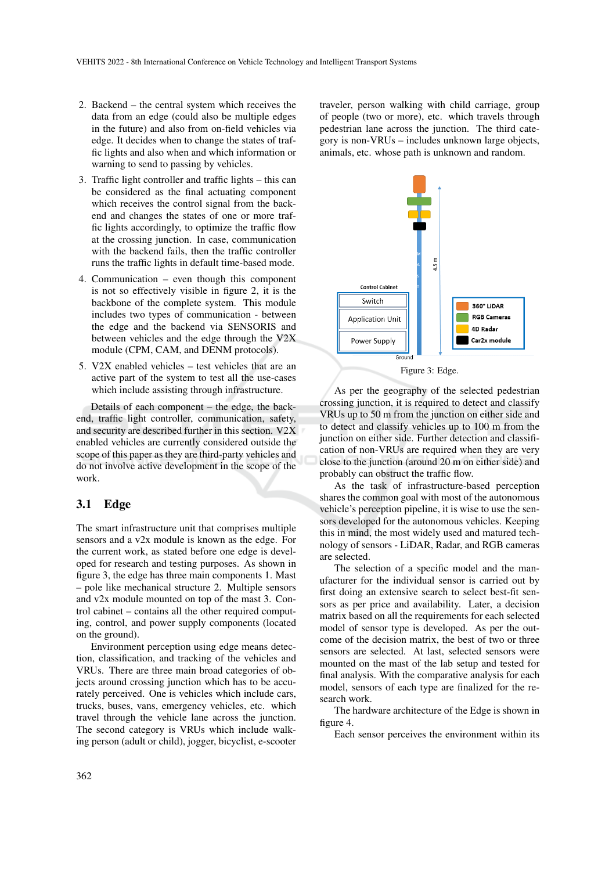- 2. Backend the central system which receives the data from an edge (could also be multiple edges in the future) and also from on-field vehicles via edge. It decides when to change the states of traffic lights and also when and which information or warning to send to passing by vehicles.
- 3. Traffic light controller and traffic lights this can be considered as the final actuating component which receives the control signal from the backend and changes the states of one or more traffic lights accordingly, to optimize the traffic flow at the crossing junction. In case, communication with the backend fails, then the traffic controller runs the traffic lights in default time-based mode.
- 4. Communication even though this component is not so effectively visible in figure 2, it is the backbone of the complete system. This module includes two types of communication - between the edge and the backend via SENSORIS and between vehicles and the edge through the V2X module (CPM, CAM, and DENM protocols).
- 5. V2X enabled vehicles test vehicles that are an active part of the system to test all the use-cases which include assisting through infrastructure.

Details of each component – the edge, the backend, traffic light controller, communication, safety, and security are described further in this section. V2X enabled vehicles are currently considered outside the scope of this paper as they are third-party vehicles and do not involve active development in the scope of the work.

### 3.1 Edge

The smart infrastructure unit that comprises multiple sensors and a v2x module is known as the edge. For the current work, as stated before one edge is developed for research and testing purposes. As shown in figure 3, the edge has three main components 1. Mast – pole like mechanical structure 2. Multiple sensors and v2x module mounted on top of the mast 3. Control cabinet – contains all the other required computing, control, and power supply components (located on the ground).

Environment perception using edge means detection, classification, and tracking of the vehicles and VRUs. There are three main broad categories of objects around crossing junction which has to be accurately perceived. One is vehicles which include cars, trucks, buses, vans, emergency vehicles, etc. which travel through the vehicle lane across the junction. The second category is VRUs which include walking person (adult or child), jogger, bicyclist, e-scooter

traveler, person walking with child carriage, group of people (two or more), etc. which travels through pedestrian lane across the junction. The third category is non-VRUs – includes unknown large objects, animals, etc. whose path is unknown and random.



Figure 3: Edge.

As per the geography of the selected pedestrian crossing junction, it is required to detect and classify VRUs up to 50 m from the junction on either side and to detect and classify vehicles up to 100 m from the junction on either side. Further detection and classification of non-VRUs are required when they are very close to the junction (around 20 m on either side) and probably can obstruct the traffic flow.

As the task of infrastructure-based perception shares the common goal with most of the autonomous vehicle's perception pipeline, it is wise to use the sensors developed for the autonomous vehicles. Keeping this in mind, the most widely used and matured technology of sensors - LiDAR, Radar, and RGB cameras are selected.

The selection of a specific model and the manufacturer for the individual sensor is carried out by first doing an extensive search to select best-fit sensors as per price and availability. Later, a decision matrix based on all the requirements for each selected model of sensor type is developed. As per the outcome of the decision matrix, the best of two or three sensors are selected. At last, selected sensors were mounted on the mast of the lab setup and tested for final analysis. With the comparative analysis for each model, sensors of each type are finalized for the research work.

The hardware architecture of the Edge is shown in figure 4.

Each sensor perceives the environment within its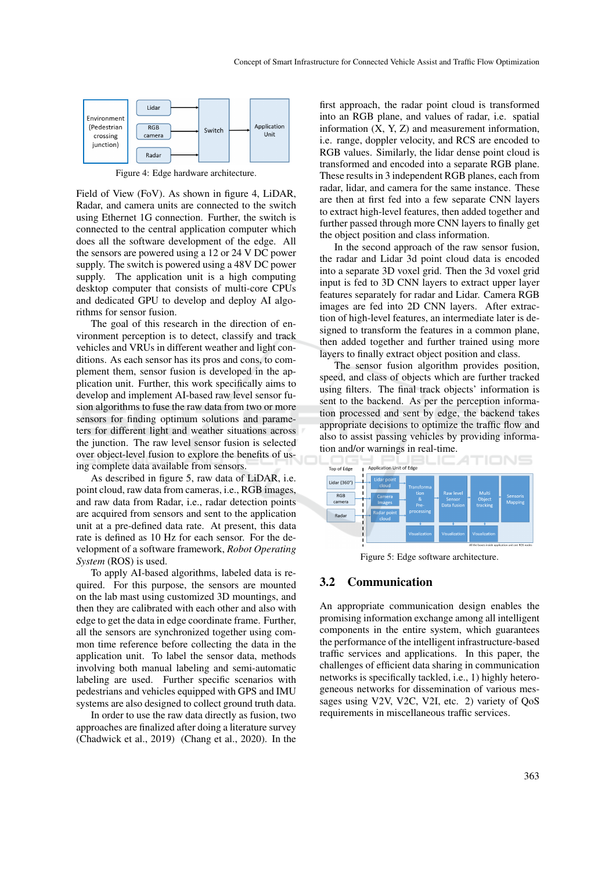

Figure 4: Edge hardware architecture.

Field of View (FoV). As shown in figure 4, LiDAR, Radar, and camera units are connected to the switch using Ethernet 1G connection. Further, the switch is connected to the central application computer which does all the software development of the edge. All the sensors are powered using a 12 or 24 V DC power supply. The switch is powered using a 48V DC power supply. The application unit is a high computing desktop computer that consists of multi-core CPUs and dedicated GPU to develop and deploy AI algorithms for sensor fusion.

The goal of this research in the direction of environment perception is to detect, classify and track vehicles and VRUs in different weather and light conditions. As each sensor has its pros and cons, to complement them, sensor fusion is developed in the application unit. Further, this work specifically aims to develop and implement AI-based raw level sensor fusion algorithms to fuse the raw data from two or more sensors for finding optimum solutions and parameters for different light and weather situations across the junction. The raw level sensor fusion is selected over object-level fusion to explore the benefits of using complete data available from sensors.

As described in figure 5, raw data of LiDAR, i.e. point cloud, raw data from cameras, i.e., RGB images, and raw data from Radar, i.e., radar detection points are acquired from sensors and sent to the application unit at a pre-defined data rate. At present, this data rate is defined as 10 Hz for each sensor. For the development of a software framework, *Robot Operating System* (ROS) is used.

To apply AI-based algorithms, labeled data is required. For this purpose, the sensors are mounted on the lab mast using customized 3D mountings, and then they are calibrated with each other and also with edge to get the data in edge coordinate frame. Further, all the sensors are synchronized together using common time reference before collecting the data in the application unit. To label the sensor data, methods involving both manual labeling and semi-automatic labeling are used. Further specific scenarios with pedestrians and vehicles equipped with GPS and IMU systems are also designed to collect ground truth data.

In order to use the raw data directly as fusion, two approaches are finalized after doing a literature survey (Chadwick et al., 2019) (Chang et al., 2020). In the

first approach, the radar point cloud is transformed into an RGB plane, and values of radar, i.e. spatial information  $(X, Y, Z)$  and measurement information, i.e. range, doppler velocity, and RCS are encoded to RGB values. Similarly, the lidar dense point cloud is transformed and encoded into a separate RGB plane. These results in 3 independent RGB planes, each from radar, lidar, and camera for the same instance. These are then at first fed into a few separate CNN layers to extract high-level features, then added together and further passed through more CNN layers to finally get the object position and class information.

In the second approach of the raw sensor fusion, the radar and Lidar 3d point cloud data is encoded into a separate 3D voxel grid. Then the 3d voxel grid input is fed to 3D CNN layers to extract upper layer features separately for radar and Lidar. Camera RGB images are fed into 2D CNN layers. After extraction of high-level features, an intermediate later is designed to transform the features in a common plane, then added together and further trained using more layers to finally extract object position and class.

The sensor fusion algorithm provides position, speed, and class of objects which are further tracked using filters. The final track objects' information is sent to the backend. As per the perception information processed and sent by edge, the backend takes appropriate decisions to optimize the traffic flow and also to assist passing vehicles by providing information and/or warnings in real-time.



Figure 5: Edge software architecture.

### 3.2 Communication

An appropriate communication design enables the promising information exchange among all intelligent components in the entire system, which guarantees the performance of the intelligent infrastructure-based traffic services and applications. In this paper, the challenges of efficient data sharing in communication networks is specifically tackled, i.e., 1) highly heterogeneous networks for dissemination of various messages using V2V, V2C, V2I, etc. 2) variety of QoS requirements in miscellaneous traffic services.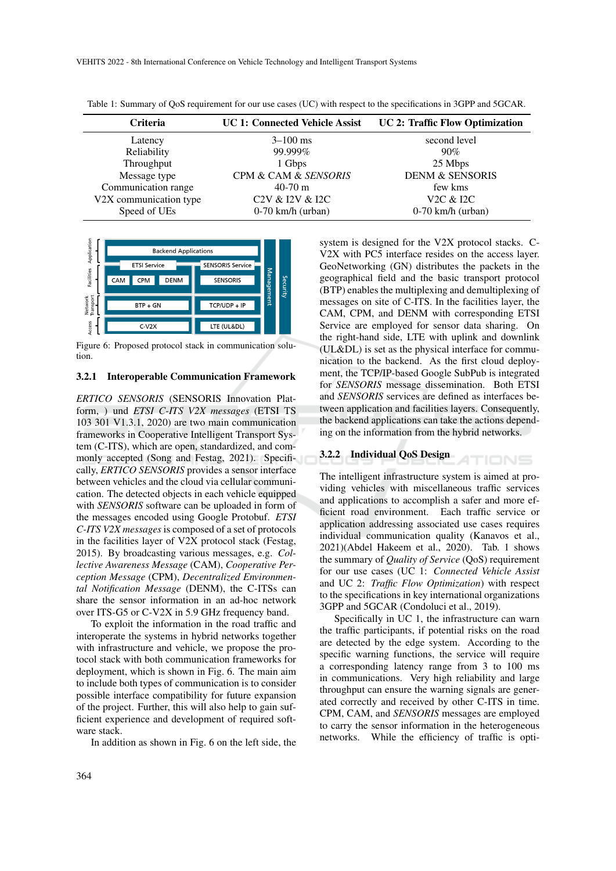| <b>Criteria</b>        | <b>UC 1: Connected Vehicle Assist</b> | <b>UC 2: Traffic Flow Optimization</b> |
|------------------------|---------------------------------------|----------------------------------------|
| Latency                | $3 - 100$ ms                          | second level                           |
| Reliability            | 99.999%                               | 90%                                    |
| Throughput             | 1 Gbps                                | 25 Mbps                                |
| Message type           | CPM & CAM & SENSORIS                  | <b>DENM &amp; SENSORIS</b>             |
| Communication range    | $40-70$ m                             | few kms                                |
| V2X communication type | C2V & I2V & I2C                       | V <sub>2</sub> C & <sub>I2C</sub>      |
| Speed of UEs           | $0-70$ km/h (urban)                   | $0-70$ km/h (urban)                    |
|                        |                                       |                                        |

Table 1: Summary of QoS requirement for our use cases (UC) with respect to the specifications in 3GPP and 5GCAR.



Figure 6: Proposed protocol stack in communication solution.

#### 3.2.1 Interoperable Communication Framework

*ERTICO SENSORIS* (SENSORIS Innovation Platform, ) und *ETSI C-ITS V2X messages* (ETSI TS 103 301 V1.3.1, 2020) are two main communication frameworks in Cooperative Intelligent Transport System (C-ITS), which are open, standardized, and commonly accepted (Song and Festag, 2021). Specifically, *ERTICO SENSORIS* provides a sensor interface between vehicles and the cloud via cellular communication. The detected objects in each vehicle equipped with *SENSORIS* software can be uploaded in form of the messages encoded using Google Protobuf. *ETSI C-ITS V2X messages* is composed of a set of protocols in the facilities layer of V2X protocol stack (Festag, 2015). By broadcasting various messages, e.g. *Collective Awareness Message* (CAM), *Cooperative Perception Message* (CPM), *Decentralized Environmental Notification Message* (DENM), the C-ITSs can share the sensor information in an ad-hoc network over ITS-G5 or C-V2X in 5.9 GHz frequency band.

To exploit the information in the road traffic and interoperate the systems in hybrid networks together with infrastructure and vehicle, we propose the protocol stack with both communication frameworks for deployment, which is shown in Fig. 6. The main aim to include both types of communication is to consider possible interface compatibility for future expansion of the project. Further, this will also help to gain sufficient experience and development of required software stack.

In addition as shown in Fig. 6 on the left side, the

system is designed for the V2X protocol stacks. C-V2X with PC5 interface resides on the access layer. GeoNetworking (GN) distributes the packets in the geographical field and the basic transport protocol (BTP) enables the multiplexing and demultiplexing of messages on site of C-ITS. In the facilities layer, the CAM, CPM, and DENM with corresponding ETSI Service are employed for sensor data sharing. On the right-hand side, LTE with uplink and downlink (UL&DL) is set as the physical interface for communication to the backend. As the first cloud deployment, the TCP/IP-based Google SubPub is integrated for *SENSORIS* message dissemination. Both ETSI and *SENSORIS* services are defined as interfaces between application and facilities layers. Consequently, the backend applications can take the actions depending on the information from the hybrid networks.

#### 3.2.2 Individual QoS Design

The intelligent infrastructure system is aimed at providing vehicles with miscellaneous traffic services and applications to accomplish a safer and more efficient road environment. Each traffic service or application addressing associated use cases requires individual communication quality (Kanavos et al., 2021)(Abdel Hakeem et al., 2020). Tab. 1 shows the summary of *Quality of Service* (QoS) requirement for our use cases (UC 1: *Connected Vehicle Assist* and UC 2: *Traffic Flow Optimization*) with respect to the specifications in key international organizations 3GPP and 5GCAR (Condoluci et al., 2019).

TIONS

Specifically in UC 1, the infrastructure can warn the traffic participants, if potential risks on the road are detected by the edge system. According to the specific warning functions, the service will require a corresponding latency range from 3 to 100 ms in communications. Very high reliability and large throughput can ensure the warning signals are generated correctly and received by other C-ITS in time. CPM, CAM, and *SENSORIS* messages are employed to carry the sensor information in the heterogeneous networks. While the efficiency of traffic is opti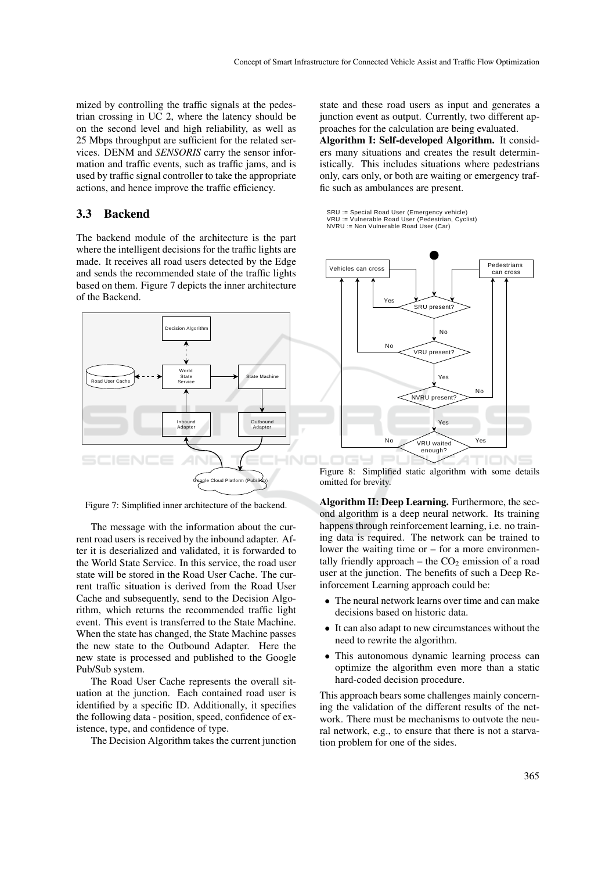mized by controlling the traffic signals at the pedestrian crossing in UC 2, where the latency should be on the second level and high reliability, as well as 25 Mbps throughput are sufficient for the related services. DENM and *SENSORIS* carry the sensor information and traffic events, such as traffic jams, and is used by traffic signal controller to take the appropriate actions, and hence improve the traffic efficiency.

### 3.3 Backend

The backend module of the architecture is the part where the intelligent decisions for the traffic lights are made. It receives all road users detected by the Edge and sends the recommended state of the traffic lights based on them. Figure 7 depicts the inner architecture of the Backend.



Figure 7: Simplified inner architecture of the backend.

The message with the information about the current road users is received by the inbound adapter. After it is deserialized and validated, it is forwarded to the World State Service. In this service, the road user state will be stored in the Road User Cache. The current traffic situation is derived from the Road User Cache and subsequently, send to the Decision Algorithm, which returns the recommended traffic light event. This event is transferred to the State Machine. When the state has changed, the State Machine passes the new state to the Outbound Adapter. Here the new state is processed and published to the Google Pub/Sub system.

The Road User Cache represents the overall situation at the junction. Each contained road user is identified by a specific ID. Additionally, it specifies the following data - position, speed, confidence of existence, type, and confidence of type.

The Decision Algorithm takes the current junction

state and these road users as input and generates a junction event as output. Currently, two different approaches for the calculation are being evaluated.

Algorithm I: Self-developed Algorithm. It considers many situations and creates the result deterministically. This includes situations where pedestrians only, cars only, or both are waiting or emergency traffic such as ambulances are present.

SRU := Special Road User (Emergency vehicle) VRU := Vulnerable Road User (Pedestrian, Cyclist) NVRU := Non Vulnerable Road User (Car)



Figure 8: Simplified static algorithm with some details omitted for brevity.

Algorithm II: Deep Learning. Furthermore, the second algorithm is a deep neural network. Its training happens through reinforcement learning, i.e. no training data is required. The network can be trained to lower the waiting time or – for a more environmentally friendly approach – the  $CO<sub>2</sub>$  emission of a road user at the junction. The benefits of such a Deep Reinforcement Learning approach could be:

- The neural network learns over time and can make decisions based on historic data.
- It can also adapt to new circumstances without the need to rewrite the algorithm.
- This autonomous dynamic learning process can optimize the algorithm even more than a static hard-coded decision procedure.

This approach bears some challenges mainly concerning the validation of the different results of the network. There must be mechanisms to outvote the neural network, e.g., to ensure that there is not a starvation problem for one of the sides.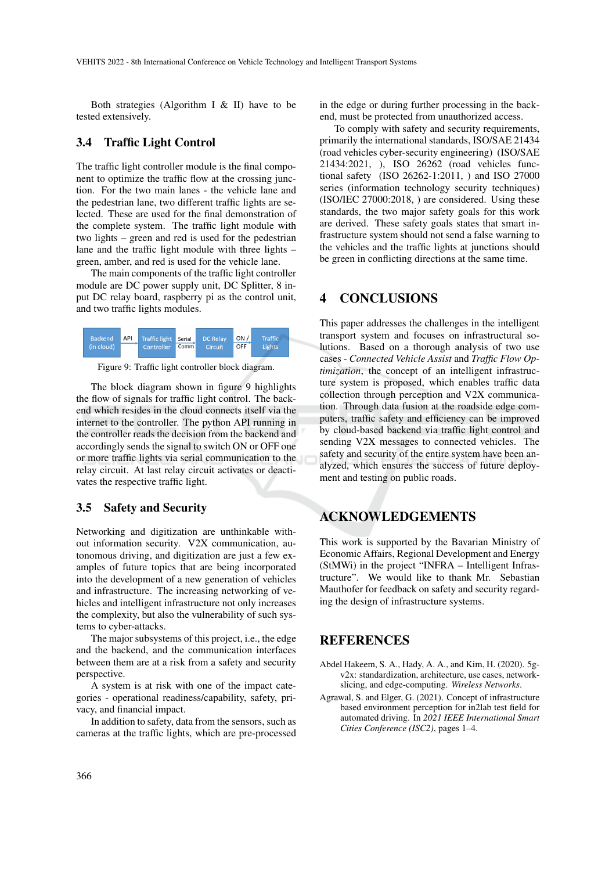Both strategies (Algorithm I & II) have to be tested extensively.

### 3.4 Traffic Light Control

The traffic light controller module is the final component to optimize the traffic flow at the crossing junction. For the two main lanes - the vehicle lane and the pedestrian lane, two different traffic lights are selected. These are used for the final demonstration of the complete system. The traffic light module with two lights – green and red is used for the pedestrian lane and the traffic light module with three lights – green, amber, and red is used for the vehicle lane.

The main components of the traffic light controller module are DC power supply unit, DC Splitter, 8 input DC relay board, raspberry pi as the control unit, and two traffic lights modules.



Figure 9: Traffic light controller block diagram.

The block diagram shown in figure 9 highlights the flow of signals for traffic light control. The backend which resides in the cloud connects itself via the internet to the controller. The python API running in the controller reads the decision from the backend and accordingly sends the signal to switch ON or OFF one or more traffic lights via serial communication to the relay circuit. At last relay circuit activates or deactivates the respective traffic light.

### 3.5 Safety and Security

Networking and digitization are unthinkable without information security. V2X communication, autonomous driving, and digitization are just a few examples of future topics that are being incorporated into the development of a new generation of vehicles and infrastructure. The increasing networking of vehicles and intelligent infrastructure not only increases the complexity, but also the vulnerability of such systems to cyber-attacks.

The major subsystems of this project, i.e., the edge and the backend, and the communication interfaces between them are at a risk from a safety and security perspective.

A system is at risk with one of the impact categories - operational readiness/capability, safety, privacy, and financial impact.

In addition to safety, data from the sensors, such as cameras at the traffic lights, which are pre-processed

in the edge or during further processing in the backend, must be protected from unauthorized access.

To comply with safety and security requirements, primarily the international standards, ISO/SAE 21434 (road vehicles cyber-security engineering) (ISO/SAE 21434:2021, ), ISO 26262 (road vehicles functional safety (ISO 26262-1:2011, ) and ISO 27000 series (information technology security techniques) (ISO/IEC 27000:2018, ) are considered. Using these standards, the two major safety goals for this work are derived. These safety goals states that smart infrastructure system should not send a false warning to the vehicles and the traffic lights at junctions should be green in conflicting directions at the same time.

## 4 CONCLUSIONS

This paper addresses the challenges in the intelligent transport system and focuses on infrastructural solutions. Based on a thorough analysis of two use cases - *Connected Vehicle Assist* and *Traffic Flow Optimization*, the concept of an intelligent infrastructure system is proposed, which enables traffic data collection through perception and V2X communication. Through data fusion at the roadside edge computers, traffic safety and efficiency can be improved by cloud-based backend via traffic light control and sending V2X messages to connected vehicles. The safety and security of the entire system have been analyzed, which ensures the success of future deployment and testing on public roads.

# ACKNOWLEDGEMENTS

This work is supported by the Bavarian Ministry of Economic Affairs, Regional Development and Energy (StMWi) in the project "INFRA – Intelligent Infrastructure". We would like to thank Mr. Sebastian Mauthofer for feedback on safety and security regarding the design of infrastructure systems.

# **REFERENCES**

- Abdel Hakeem, S. A., Hady, A. A., and Kim, H. (2020). 5gv2x: standardization, architecture, use cases, networkslicing, and edge-computing. *Wireless Networks*.
- Agrawal, S. and Elger, G. (2021). Concept of infrastructure based environment perception for in2lab test field for automated driving. In *2021 IEEE International Smart Cities Conference (ISC2)*, pages 1–4.